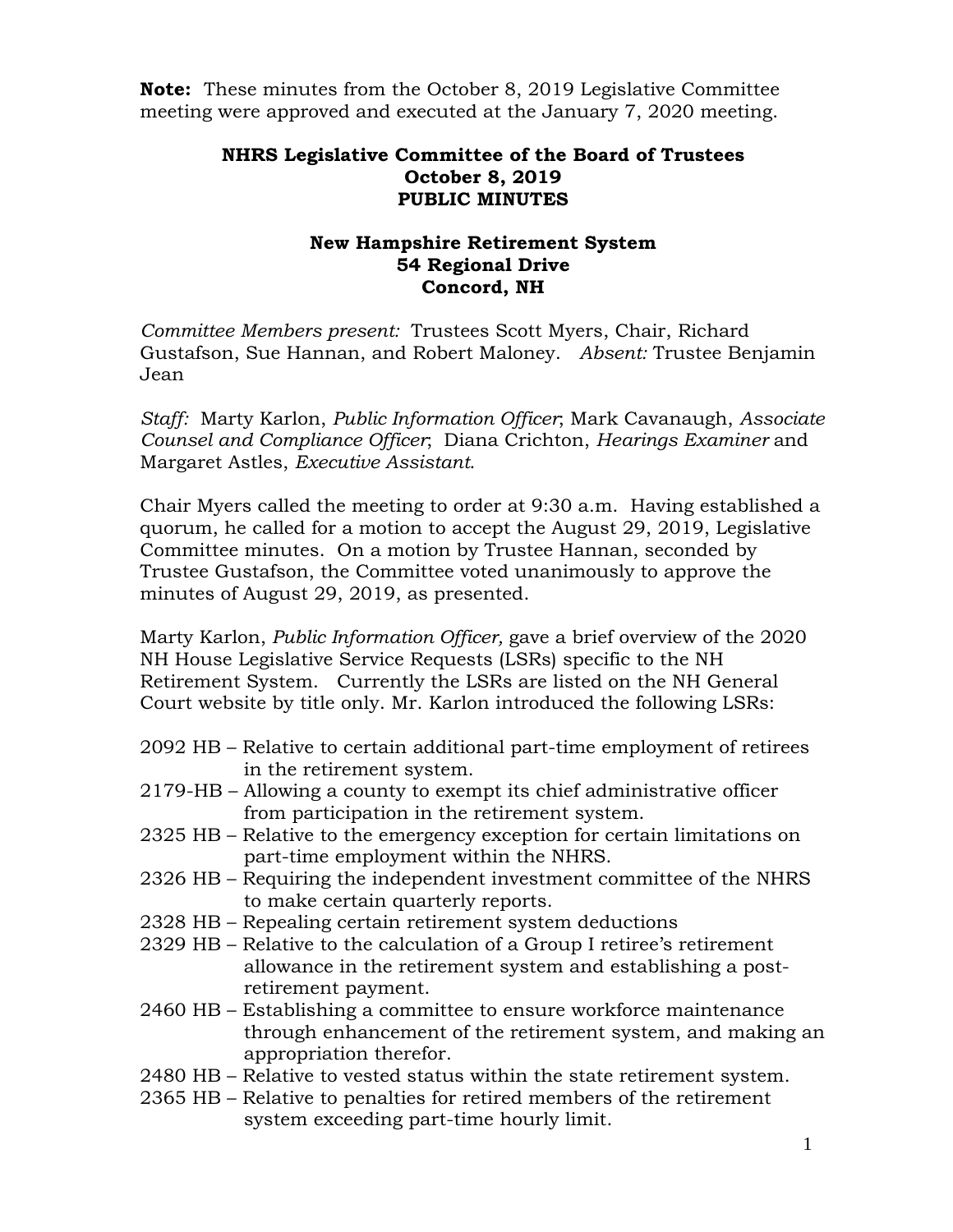**Note:** These minutes from the October 8, 2019 Legislative Committee meeting were approved and executed at the January 7, 2020 meeting.

## **NHRS Legislative Committee of the Board of Trustees October 8, 2019 PUBLIC MINUTES**

## **New Hampshire Retirement System 54 Regional Drive Concord, NH**

*Committee Members present:* Trustees Scott Myers, Chair, Richard Gustafson, Sue Hannan, and Robert Maloney. *Absent:* Trustee Benjamin Jean

*Staff:* Marty Karlon, *Public Information Officer*; Mark Cavanaugh, *Associate Counsel and Compliance Officer*; Diana Crichton, *Hearings Examiner* and Margaret Astles, *Executive Assistant*.

Chair Myers called the meeting to order at 9:30 a.m. Having established a quorum, he called for a motion to accept the August 29, 2019, Legislative Committee minutes. On a motion by Trustee Hannan, seconded by Trustee Gustafson, the Committee voted unanimously to approve the minutes of August 29, 2019, as presented.

Marty Karlon, *Public Information Officer,* gave a brief overview of the 2020 NH House Legislative Service Requests (LSRs) specific to the NH Retirement System. Currently the LSRs are listed on the NH General Court website by title only. Mr. Karlon introduced the following LSRs:

- 2092 HB Relative to certain additional part-time employment of retirees in the retirement system.
- 2179-HB Allowing a county to exempt its chief administrative officer from participation in the retirement system.
- 2325 HB Relative to the emergency exception for certain limitations on part-time employment within the NHRS.
- 2326 HB Requiring the independent investment committee of the NHRS to make certain quarterly reports.
- 2328 HB Repealing certain retirement system deductions
- 2329 HB Relative to the calculation of a Group I retiree's retirement allowance in the retirement system and establishing a post retirement payment.
- 2460 HB Establishing a committee to ensure workforce maintenance through enhancement of the retirement system, and making an appropriation therefor.
- 2480 HB Relative to vested status within the state retirement system.
- 2365 HB Relative to penalties for retired members of the retirement system exceeding part-time hourly limit.